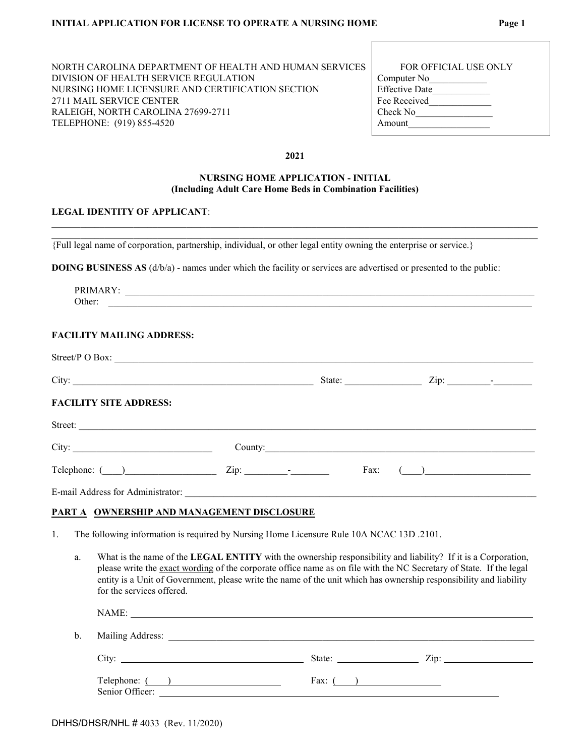| NORTH CAROLINA DEPARTMENT OF HEALTH AND HUMAN SERVICES | <b>FOR OFFICIAL USE ONLY</b> |
|--------------------------------------------------------|------------------------------|
| DIVISION OF HEALTH SERVICE REGULATION                  | Computer No                  |
| NURSING HOME LICENSURE AND CERTIFICATION SECTION       | <b>Effective Date</b>        |
| 2711 MAIL SERVICE CENTER                               | Fee Received                 |
| RALEIGH, NORTH CAROLINA 27699-2711                     | Check No                     |
| TELEPHONE: (919) 855-4520                              | Amount                       |

| <b>FOR OFFICIAL USE ONLY</b> |  |
|------------------------------|--|
| Computer No                  |  |
| Effective Date               |  |
| Fee Received                 |  |
| Check No                     |  |
| Amount                       |  |
|                              |  |

#### **2021**

## **NURSING HOME APPLICATION - INITIAL (Including Adult Care Home Beds in Combination Facilities)**

\_\_\_\_\_\_\_\_\_\_\_\_\_\_\_\_\_\_\_\_\_\_\_\_\_\_\_\_\_\_\_\_\_\_\_\_\_\_\_\_\_\_\_\_\_\_\_\_\_\_\_\_\_\_\_\_\_\_\_\_\_\_\_\_\_\_\_\_\_\_\_\_\_\_\_\_\_\_\_\_\_\_\_\_\_\_\_\_\_\_\_\_\_\_\_\_\_\_\_\_\_  $\_$  , and the state of the state of the state of the state of the state of the state of the state of the state of the state of the state of the state of the state of the state of the state of the state of the state of the

#### **LEGAL IDENTITY OF APPLICANT**:

{Full legal name of corporation, partnership, individual, or other legal entity owning the enterprise or service.}

**DOING BUSINESS AS** (d/b/a) - names under which the facility or services are advertised or presented to the public:

| PRIMARY: |  |  |  |  |
|----------|--|--|--|--|
| Other:   |  |  |  |  |
|          |  |  |  |  |
|          |  |  |  |  |
|          |  |  |  |  |

## **FACILITY MAILING ADDRESS:**

| Street/P O Box:               |                   |         |                                                    |
|-------------------------------|-------------------|---------|----------------------------------------------------|
|                               |                   | State:  | $\mathsf{Zip:} \_\_\_\_\_\_\_\_$                   |
| <b>FACILITY SITE ADDRESS:</b> |                   |         |                                                    |
| Street:                       |                   |         |                                                    |
|                               |                   | County: |                                                    |
| Telephone: ()                 | $\mathbf{Zip:}$ - | Fax:    | $\left(\begin{array}{cc} 0 & 0 \end{array}\right)$ |
|                               |                   |         |                                                    |

### **PART A OWNERSHIP AND MANAGEMENT DISCLOSURE**

- 1. The following information is required by Nursing Home Licensure Rule 10A NCAC 13D .2101.
	- a. What is the name of the **LEGAL ENTITY** with the ownership responsibility and liability? If it is a Corporation, please write the exact wording of the corporate office name as on file with the NC Secretary of State. If the legal entity is a Unit of Government, please write the name of the unit which has ownership responsibility and liability for the services offered.

| b. | Mailing Address: <u>Communications</u> |                               |  |
|----|----------------------------------------|-------------------------------|--|
|    |                                        | State: $\qquad \qquad \qquad$ |  |
|    | Telephone: ( )<br>Senior Officer:      | Fax: $($                      |  |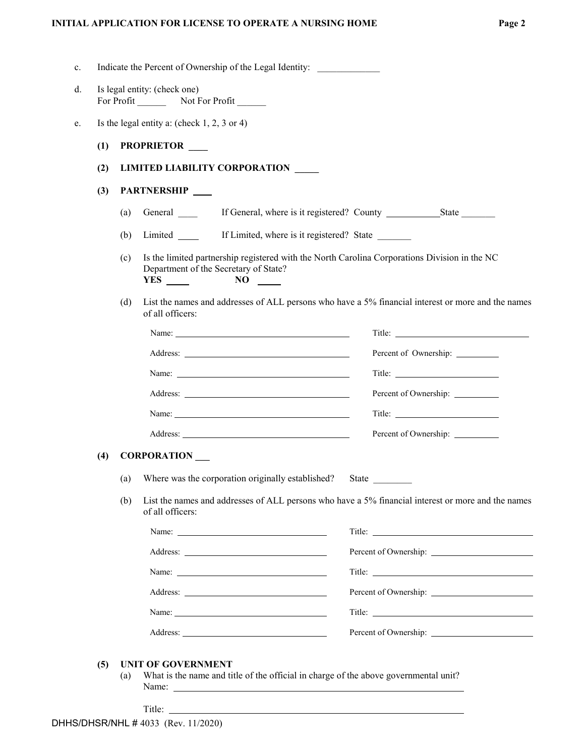| d. | Is legal entity: (check one)<br>For Profit Not For Profit |     |                                                                                                                                                                                                                                                                                                                                                                                                               |                        |
|----|-----------------------------------------------------------|-----|---------------------------------------------------------------------------------------------------------------------------------------------------------------------------------------------------------------------------------------------------------------------------------------------------------------------------------------------------------------------------------------------------------------|------------------------|
|    |                                                           |     |                                                                                                                                                                                                                                                                                                                                                                                                               |                        |
| e. |                                                           |     | Is the legal entity a: (check $1, 2, 3$ or 4)                                                                                                                                                                                                                                                                                                                                                                 |                        |
|    | (1)                                                       |     | PROPRIETOR ___                                                                                                                                                                                                                                                                                                                                                                                                |                        |
|    | (2)                                                       |     | <b>LIMITED LIABILITY CORPORATION</b>                                                                                                                                                                                                                                                                                                                                                                          |                        |
|    | (3)                                                       |     | PARTNERSHIP                                                                                                                                                                                                                                                                                                                                                                                                   |                        |
|    |                                                           | (a) | General                                                                                                                                                                                                                                                                                                                                                                                                       |                        |
|    |                                                           | (b) | If Limited, where is it registered? State<br>Limited ________                                                                                                                                                                                                                                                                                                                                                 |                        |
|    |                                                           | (c) | Is the limited partnership registered with the North Carolina Corporations Division in the NC<br>Department of the Secretary of State?<br>$NO \t —$                                                                                                                                                                                                                                                           |                        |
|    |                                                           | (d) | List the names and addresses of ALL persons who have a 5% financial interest or more and the names<br>of all officers:                                                                                                                                                                                                                                                                                        |                        |
|    |                                                           |     | Name: Name:                                                                                                                                                                                                                                                                                                                                                                                                   | Title: Title:          |
|    |                                                           |     |                                                                                                                                                                                                                                                                                                                                                                                                               |                        |
|    |                                                           |     | Name:                                                                                                                                                                                                                                                                                                                                                                                                         |                        |
|    |                                                           |     |                                                                                                                                                                                                                                                                                                                                                                                                               |                        |
|    |                                                           |     | Name: Name and the state of the state of the state of the state of the state of the state of the state of the state of the state of the state of the state of the state of the state of the state of the state of the state of                                                                                                                                                                                | Title: $\qquad \qquad$ |
|    |                                                           |     |                                                                                                                                                                                                                                                                                                                                                                                                               | Percent of Ownership:  |
|    | (4)                                                       |     | <b>CORPORATION</b>                                                                                                                                                                                                                                                                                                                                                                                            |                        |
|    |                                                           |     | (a) Where was the corporation originally established? State                                                                                                                                                                                                                                                                                                                                                   |                        |
|    |                                                           | (b) | List the names and addresses of ALL persons who have a 5% financial interest or more and the names<br>of all officers:                                                                                                                                                                                                                                                                                        |                        |
|    |                                                           |     |                                                                                                                                                                                                                                                                                                                                                                                                               |                        |
|    |                                                           |     |                                                                                                                                                                                                                                                                                                                                                                                                               |                        |
|    |                                                           |     | Name:                                                                                                                                                                                                                                                                                                                                                                                                         |                        |
|    |                                                           |     |                                                                                                                                                                                                                                                                                                                                                                                                               |                        |
|    |                                                           |     | Name: $\frac{1}{\sqrt{1-\frac{1}{2}}\sqrt{1-\frac{1}{2}}\sqrt{1-\frac{1}{2}}\sqrt{1-\frac{1}{2}}\sqrt{1-\frac{1}{2}}\sqrt{1-\frac{1}{2}}\sqrt{1-\frac{1}{2}}\sqrt{1-\frac{1}{2}}\sqrt{1-\frac{1}{2}}\sqrt{1-\frac{1}{2}}\sqrt{1-\frac{1}{2}}\sqrt{1-\frac{1}{2}}\sqrt{1-\frac{1}{2}}\sqrt{1-\frac{1}{2}}\sqrt{1-\frac{1}{2}}\sqrt{1-\frac{1}{2}}\sqrt{1-\frac{1}{2}}\sqrt{1-\frac{1}{2}}\sqrt{1-\frac{1}{2}}$ |                        |
|    |                                                           |     |                                                                                                                                                                                                                                                                                                                                                                                                               |                        |

- (a) What is the name and title of the official in charge of the above governmental unit? Name:
	- Title: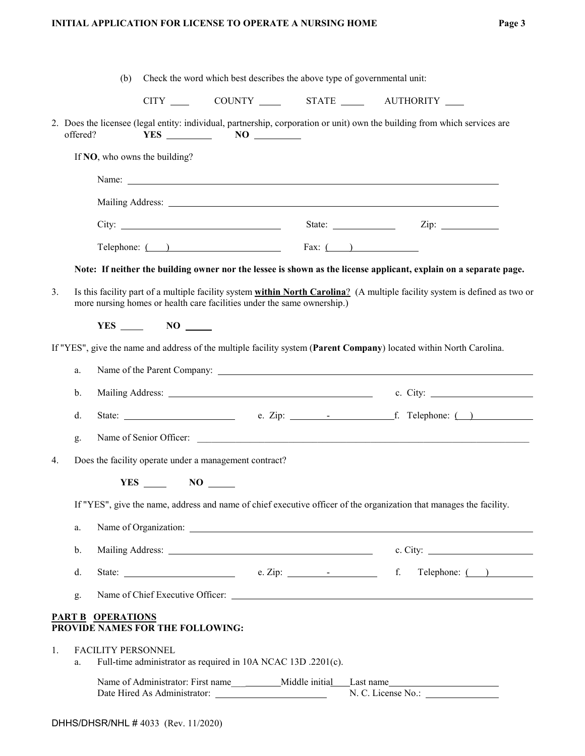|    |          | (b)                       |                                  | Check the word which best describes the above type of governmental unit:                                                                                                                                                                                                                                                                          |  |                                                                                                                             |
|----|----------|---------------------------|----------------------------------|---------------------------------------------------------------------------------------------------------------------------------------------------------------------------------------------------------------------------------------------------------------------------------------------------------------------------------------------------|--|-----------------------------------------------------------------------------------------------------------------------------|
|    |          |                           |                                  |                                                                                                                                                                                                                                                                                                                                                   |  | CITY _____ COUNTY ______ STATE ______ AUTHORITY ____                                                                        |
|    | offered? |                           |                                  | $YES$ NO NO                                                                                                                                                                                                                                                                                                                                       |  | 2. Does the licensee (legal entity: individual, partnership, corporation or unit) own the building from which services are  |
|    |          |                           | If NO, who owns the building?    |                                                                                                                                                                                                                                                                                                                                                   |  |                                                                                                                             |
|    |          |                           |                                  |                                                                                                                                                                                                                                                                                                                                                   |  |                                                                                                                             |
|    |          |                           |                                  |                                                                                                                                                                                                                                                                                                                                                   |  |                                                                                                                             |
|    |          |                           |                                  |                                                                                                                                                                                                                                                                                                                                                   |  |                                                                                                                             |
|    |          |                           |                                  | Telephone: $\qquad \qquad$ Fax: $\qquad \qquad$                                                                                                                                                                                                                                                                                                   |  |                                                                                                                             |
|    |          |                           |                                  |                                                                                                                                                                                                                                                                                                                                                   |  | Note: If neither the building owner nor the lessee is shown as the license applicant, explain on a separate page.           |
| 3. |          |                           |                                  | more nursing homes or health care facilities under the same ownership.)                                                                                                                                                                                                                                                                           |  | Is this facility part of a multiple facility system within North Carolina? (A multiple facility system is defined as two or |
|    |          |                           | $YES$ NO $\_\_$                  |                                                                                                                                                                                                                                                                                                                                                   |  |                                                                                                                             |
|    |          |                           |                                  |                                                                                                                                                                                                                                                                                                                                                   |  | If "YES", give the name and address of the multiple facility system (Parent Company) located within North Carolina.         |
|    | a.       |                           |                                  |                                                                                                                                                                                                                                                                                                                                                   |  |                                                                                                                             |
|    | b.       |                           |                                  |                                                                                                                                                                                                                                                                                                                                                   |  |                                                                                                                             |
|    | d.       |                           |                                  |                                                                                                                                                                                                                                                                                                                                                   |  |                                                                                                                             |
|    | g.       |                           |                                  |                                                                                                                                                                                                                                                                                                                                                   |  |                                                                                                                             |
| 4. |          |                           |                                  | Does the facility operate under a management contract?                                                                                                                                                                                                                                                                                            |  |                                                                                                                             |
|    |          |                           | $YES$ NO $\_\_$                  |                                                                                                                                                                                                                                                                                                                                                   |  |                                                                                                                             |
|    |          |                           |                                  |                                                                                                                                                                                                                                                                                                                                                   |  | If "YES", give the name, address and name of chief executive officer of the organization that manages the facility.         |
|    | a.       |                           |                                  |                                                                                                                                                                                                                                                                                                                                                   |  |                                                                                                                             |
|    | b.       |                           |                                  |                                                                                                                                                                                                                                                                                                                                                   |  | c. City: $\qquad \qquad$                                                                                                    |
|    | d.       |                           |                                  | State: $e. Zip:$ $\overline{E}$ = $\overline{E}$ = $\overline{E}$ = $\overline{E}$ = $\overline{E}$ = $\overline{E}$ = $\overline{E}$ = $\overline{E}$ = $\overline{E}$ = $\overline{E}$ = $\overline{E}$ = $\overline{E}$ = $\overline{E}$ = $\overline{E}$ = $\overline{E}$ = $\overline{E}$ = $\overline{E}$ = $\overline{E}$ = $\overline{E}$ |  | Telephone: ( )                                                                                                              |
|    | g.       |                           |                                  |                                                                                                                                                                                                                                                                                                                                                   |  |                                                                                                                             |
|    |          | <b>PART B OPERATIONS</b>  | PROVIDE NAMES FOR THE FOLLOWING: |                                                                                                                                                                                                                                                                                                                                                   |  |                                                                                                                             |
| 1. | a.       | <b>FACILITY PERSONNEL</b> |                                  | Full-time administrator as required in 10A NCAC 13D .2201(c).                                                                                                                                                                                                                                                                                     |  |                                                                                                                             |
|    |          |                           |                                  |                                                                                                                                                                                                                                                                                                                                                   |  | N. C. License No.:                                                                                                          |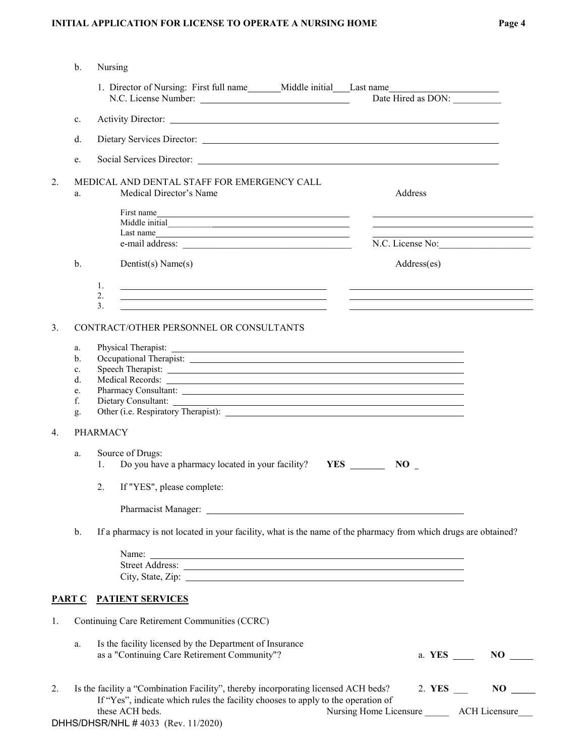|    | b.                   | Nursing                                                                                                                                                                                                                        |                                                                                                                                                                                                                                                                                                                                                                 |                      |
|----|----------------------|--------------------------------------------------------------------------------------------------------------------------------------------------------------------------------------------------------------------------------|-----------------------------------------------------------------------------------------------------------------------------------------------------------------------------------------------------------------------------------------------------------------------------------------------------------------------------------------------------------------|----------------------|
|    |                      | 1. Director of Nursing: First full name________Middle initial_____Last name________________________                                                                                                                            | Date Hired as DON:                                                                                                                                                                                                                                                                                                                                              |                      |
|    | c.                   |                                                                                                                                                                                                                                |                                                                                                                                                                                                                                                                                                                                                                 |                      |
|    | d.                   |                                                                                                                                                                                                                                |                                                                                                                                                                                                                                                                                                                                                                 |                      |
|    | e.                   |                                                                                                                                                                                                                                |                                                                                                                                                                                                                                                                                                                                                                 |                      |
| 2. | a.                   | MEDICAL AND DENTAL STAFF FOR EMERGENCY CALL<br>Medical Director's Name                                                                                                                                                         | Address                                                                                                                                                                                                                                                                                                                                                         |                      |
|    |                      | First name<br>Last name                                                                                                                                                                                                        | <u> 1989 - Johann Stein, mars an deus an deus an deus an deus an deus an deus an deus an deus an deus an deus an</u>                                                                                                                                                                                                                                            |                      |
|    |                      |                                                                                                                                                                                                                                | N.C. License No:                                                                                                                                                                                                                                                                                                                                                |                      |
|    | b.                   | Dentist(s) Name(s)                                                                                                                                                                                                             | Address(es)                                                                                                                                                                                                                                                                                                                                                     |                      |
|    |                      | 1.<br><u> 1989 - Johann Stein, mars and de Brazilian (b. 1989)</u><br>2.<br><u> 1989 - Johann Barbara, martin amerikan basar dan berasal dalam berasal dalam basa dalam basar dalam berasal d</u><br>3.                        | <u> The Communication of the Communication of the Communication of the Communication of the Communication of the Co</u><br><u>and the contract of the contract of the contract of the contract of the contract of the contract of the contract of the contract of the contract of the contract of the contract of the contract of the contract of the contr</u> |                      |
| 3. |                      | CONTRACT/OTHER PERSONNEL OR CONSULTANTS                                                                                                                                                                                        |                                                                                                                                                                                                                                                                                                                                                                 |                      |
|    | a.<br>b.<br>c.<br>d. |                                                                                                                                                                                                                                |                                                                                                                                                                                                                                                                                                                                                                 |                      |
|    | e.                   | Medical Records:                                                                                                                                                                                                               |                                                                                                                                                                                                                                                                                                                                                                 |                      |
|    | f.<br>g.             |                                                                                                                                                                                                                                |                                                                                                                                                                                                                                                                                                                                                                 |                      |
| 4. |                      | <b>PHARMACY</b>                                                                                                                                                                                                                |                                                                                                                                                                                                                                                                                                                                                                 |                      |
|    | a.                   | Source of Drugs:                                                                                                                                                                                                               |                                                                                                                                                                                                                                                                                                                                                                 |                      |
|    |                      | Do you have a pharmacy located in your facility? YES<br>1.                                                                                                                                                                     | $NO_{-}$                                                                                                                                                                                                                                                                                                                                                        |                      |
|    |                      | 2.<br>If "YES", please complete:                                                                                                                                                                                               |                                                                                                                                                                                                                                                                                                                                                                 |                      |
|    |                      |                                                                                                                                                                                                                                |                                                                                                                                                                                                                                                                                                                                                                 |                      |
|    | b.                   | If a pharmacy is not located in your facility, what is the name of the pharmacy from which drugs are obtained?                                                                                                                 |                                                                                                                                                                                                                                                                                                                                                                 |                      |
|    |                      |                                                                                                                                                                                                                                |                                                                                                                                                                                                                                                                                                                                                                 |                      |
|    |                      |                                                                                                                                                                                                                                |                                                                                                                                                                                                                                                                                                                                                                 |                      |
|    |                      | City, State, Zip: 2002. The contract of the contract of the contract of the contract of the contract of the contract of the contract of the contract of the contract of the contract of the contract of the contract of the co |                                                                                                                                                                                                                                                                                                                                                                 |                      |
|    |                      | PART C PATIENT SERVICES                                                                                                                                                                                                        |                                                                                                                                                                                                                                                                                                                                                                 |                      |
| 1. |                      | Continuing Care Retirement Communities (CCRC)                                                                                                                                                                                  |                                                                                                                                                                                                                                                                                                                                                                 |                      |
|    | a.                   | Is the facility licensed by the Department of Insurance<br>as a "Continuing Care Retirement Community"?                                                                                                                        |                                                                                                                                                                                                                                                                                                                                                                 | a. YES _____ NO ____ |
| 2. |                      | Is the facility a "Combination Facility", thereby incorporating licensed ACH beds?<br>If "Yes", indicate which rules the facility chooses to apply to the operation of                                                         | 2. YES $\_\_$                                                                                                                                                                                                                                                                                                                                                   | $NO$ <sub>——</sub>   |
|    |                      | these ACH beds.<br>DHHS/DHSR/NHL #4033 (Rev. 11/2020)                                                                                                                                                                          | Nursing Home Licensure ________ ACH Licensure                                                                                                                                                                                                                                                                                                                   |                      |